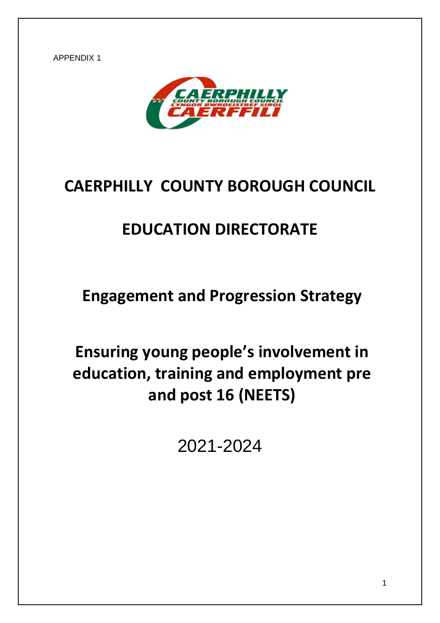APPENDIX 1



# **CAERPHILLY COUNTY BOROUGH COUNCIL**

# **EDUCATION DIRECTORATE**

**Engagement and Progression Strategy**

**Ensuring young people's involvement in education, training and employment pre and post 16 (NEETS)**

2021-2024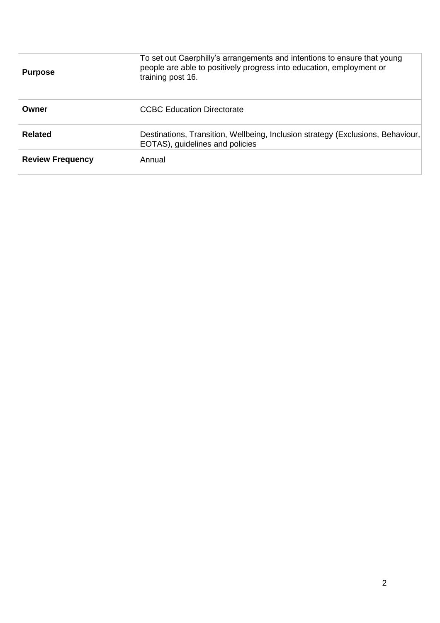| <b>Purpose</b>          | To set out Caerphilly's arrangements and intentions to ensure that young<br>people are able to positively progress into education, employment or<br>training post 16. |  |  |  |  |
|-------------------------|-----------------------------------------------------------------------------------------------------------------------------------------------------------------------|--|--|--|--|
| Owner                   | CCBC Education Directorate                                                                                                                                            |  |  |  |  |
| <b>Related</b>          | Destinations, Transition, Wellbeing, Inclusion strategy (Exclusions, Behaviour,<br>EOTAS), guidelines and policies                                                    |  |  |  |  |
| <b>Review Frequency</b> | Annual                                                                                                                                                                |  |  |  |  |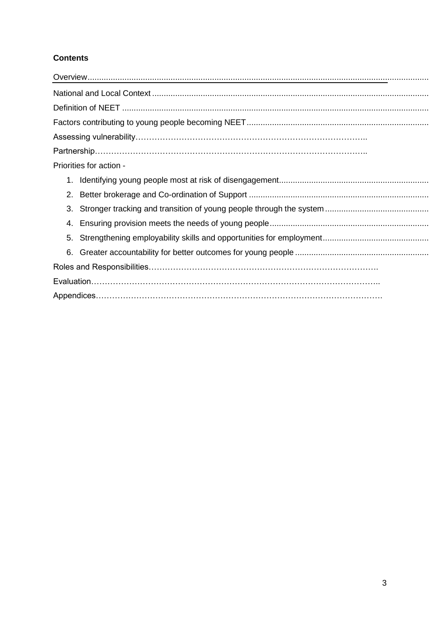# **Contents**

| Priorities for action - |
|-------------------------|
|                         |
|                         |
| 3.                      |
|                         |
|                         |
| 6.                      |
|                         |
|                         |
|                         |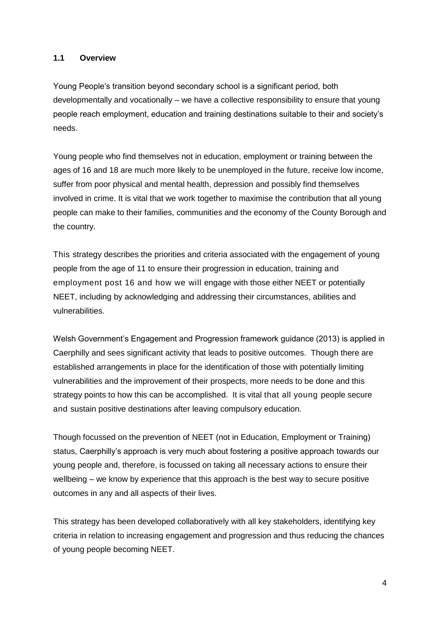#### **1.1 Overview**

Young People's transition beyond secondary school is a significant period, both developmentally and vocationally – we have a collective responsibility to ensure that young people reach employment, education and training destinations suitable to their and society's needs.

Young people who find themselves not in education, employment or training between the ages of 16 and 18 are much more likely to be unemployed in the future, receive low income, suffer from poor physical and mental health, depression and possibly find themselves involved in crime. It is vital that we work together to maximise the contribution that all young people can make to their families, communities and the economy of the County Borough and the country.

This strategy describes the priorities and criteria associated with the engagement of young people from the age of 11 to ensure their progression in education, training and employment post 16 and how we will engage with those either NEET or potentially NEET, including by acknowledging and addressing their circumstances, abilities and vulnerabilities.

Welsh Government's Engagement and Progression framework guidance (2013) is applied in Caerphilly and sees significant activity that leads to positive outcomes. Though there are established arrangements in place for the identification of those with potentially limiting vulnerabilities and the improvement of their prospects, more needs to be done and this strategy points to how this can be accomplished. It is vital that all young people secure and sustain positive destinations after leaving compulsory education.

Though focussed on the prevention of NEET (not in Education, Employment or Training) status, Caerphilly's approach is very much about fostering a positive approach towards our young people and, therefore, is focussed on taking all necessary actions to ensure their wellbeing – we know by experience that this approach is the best way to secure positive outcomes in any and all aspects of their lives.

This strategy has been developed collaboratively with all key stakeholders, identifying key criteria in relation to increasing engagement and progression and thus reducing the chances of young people becoming NEET.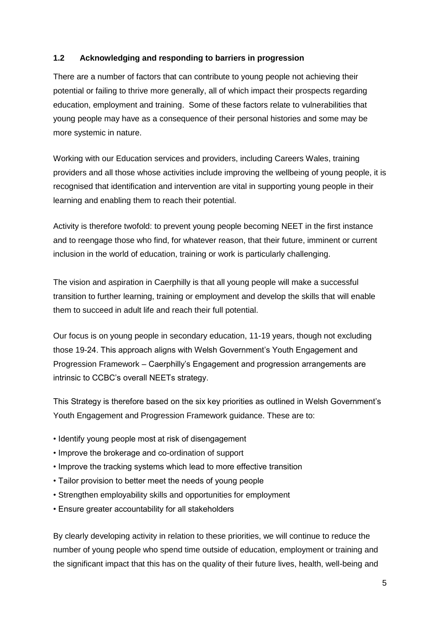# **1.2 Acknowledging and responding to barriers in progression**

There are a number of factors that can contribute to young people not achieving their potential or failing to thrive more generally, all of which impact their prospects regarding education, employment and training. Some of these factors relate to vulnerabilities that young people may have as a consequence of their personal histories and some may be more systemic in nature.

Working with our Education services and providers, including Careers Wales, training providers and all those whose activities include improving the wellbeing of young people, it is recognised that identification and intervention are vital in supporting young people in their learning and enabling them to reach their potential.

Activity is therefore twofold: to prevent young people becoming NEET in the first instance and to reengage those who find, for whatever reason, that their future, imminent or current inclusion in the world of education, training or work is particularly challenging.

The vision and aspiration in Caerphilly is that all young people will make a successful transition to further learning, training or employment and develop the skills that will enable them to succeed in adult life and reach their full potential.

Our focus is on young people in secondary education, 11-19 years, though not excluding those 19-24. This approach aligns with Welsh Government's Youth Engagement and Progression Framework – Caerphilly's Engagement and progression arrangements are intrinsic to CCBC's overall NEETs strategy.

This Strategy is therefore based on the six key priorities as outlined in Welsh Government's Youth Engagement and Progression Framework guidance. These are to:

- Identify young people most at risk of disengagement
- Improve the brokerage and co-ordination of support
- Improve the tracking systems which lead to more effective transition
- Tailor provision to better meet the needs of young people
- Strengthen employability skills and opportunities for employment
- Ensure greater accountability for all stakeholders

By clearly developing activity in relation to these priorities, we will continue to reduce the number of young people who spend time outside of education, employment or training and the significant impact that this has on the quality of their future lives, health, well-being and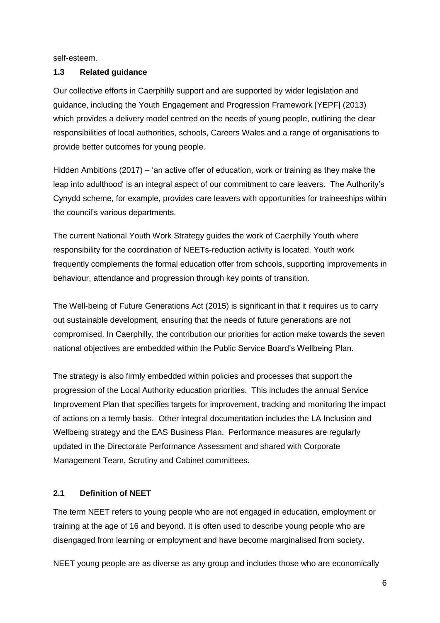self-esteem.

# <span id="page-5-0"></span>**1.3 Related guidance**

Our collective efforts in Caerphilly support and are supported by wider legislation and guidance, including the Youth Engagement and Progression Framework [YEPF] (2013) which provides a delivery model centred on the needs of young people, outlining the clear responsibilities of local authorities, schools, Careers Wales and a range of organisations to provide better outcomes for young people.

Hidden Ambitions (2017) – 'an active offer of education, work or training as they make the leap into adulthood' is an integral aspect of our commitment to care leavers. The Authority's Cynydd scheme, for example, provides care leavers with opportunities for traineeships within the council's various departments.

The current National Youth Work Strategy guides the work of Caerphilly Youth where responsibility for the coordination of NEETs-reduction activity is located. Youth work frequently complements the formal education offer from schools, supporting improvements in behaviour, attendance and progression through key points of transition.

The Well-being of Future Generations Act (2015) is significant in that it requires us to carry out sustainable development, ensuring that the needs of future generations are not compromised. In Caerphilly, the contribution our priorities for action make towards the seven national objectives are embedded within the Public Service Board's Wellbeing Plan.

The strategy is also firmly embedded within policies and processes that support the progression of the Local Authority education priorities. This includes the annual Service Improvement Plan that specifies targets for improvement, tracking and monitoring the impact of actions on a termly basis. Other integral documentation includes the LA Inclusion and Wellbeing strategy and the EAS Business Plan. Performance measures are regularly updated in the Directorate Performance Assessment and shared with Corporate Management Team, Scrutiny and Cabinet committees.

# **2.1 Definition of NEET**

The term NEET refers to young people who are not engaged in education, employment or training at the age of 16 and beyond. It is often used to describe young people who are disengaged from learning or employment and have become marginalised from society.

NEET young people are as diverse as any group and includes those who are economically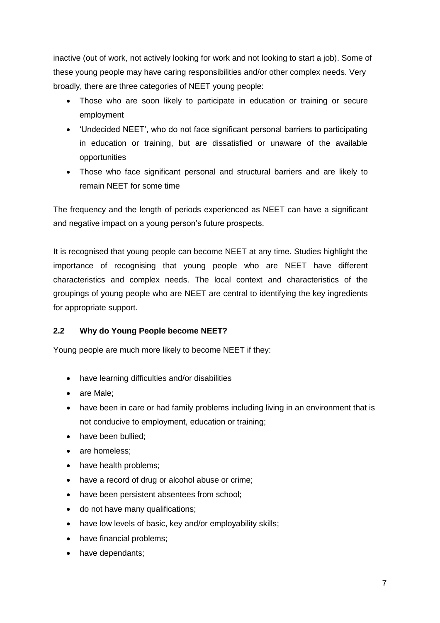inactive (out of work, not actively looking for work and not looking to start a job). Some of these young people may have caring responsibilities and/or other complex needs. Very broadly, there are three categories of NEET young people:

- Those who are soon likely to participate in education or training or secure employment
- 'Undecided NEET', who do not face significant personal barriers to participating in education or training, but are dissatisfied or unaware of the available opportunities
- Those who face significant personal and structural barriers and are likely to remain NEET for some time

The frequency and the length of periods experienced as NEET can have a significant and negative impact on a young person's future prospects.

It is recognised that young people can become NEET at any time. Studies highlight the importance of recognising that young people who are NEET have different characteristics and complex needs. The local context and characteristics of the groupings of young people who are NEET are central to identifying the key ingredients for appropriate support.

# <span id="page-6-0"></span>**2.2 Why do Young People become NEET?**

Young people are much more likely to become NEET if they:

- have learning difficulties and/or disabilities
- are Male:
- have been in care or had family problems including living in an environment that is not conducive to employment, education or training;
- have been bullied:
- are homeless:
- have health problems;
- have a record of drug or alcohol abuse or crime;
- have been persistent absentees from school;
- do not have many qualifications;
- have low levels of basic, key and/or employability skills;
- have financial problems;
- have dependants;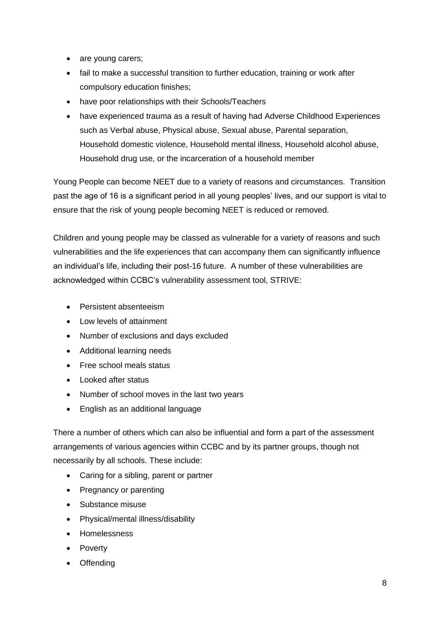- are young carers;
- fail to make a successful transition to further education, training or work after compulsory education finishes;
- have poor relationships with their Schools/Teachers
- have experienced trauma as a result of having had Adverse Childhood Experiences such as Verbal abuse, Physical abuse, Sexual abuse, Parental separation, Household domestic violence, Household mental illness, Household alcohol abuse, Household drug use, or the incarceration of a household member

Young People can become NEET due to a variety of reasons and circumstances. Transition past the age of 16 is a significant period in all young peoples' lives, and our support is vital to ensure that the risk of young people becoming NEET is reduced or removed.

Children and young people may be classed as vulnerable for a variety of reasons and such vulnerabilities and the life experiences that can accompany them can significantly influence an individual's life, including their post-16 future. A number of these vulnerabilities are acknowledged within CCBC's vulnerability assessment tool, STRIVE:

- Persistent absenteeism
- Low levels of attainment
- Number of exclusions and days excluded
- Additional learning needs
- Free school meals status
- Looked after status
- Number of school moves in the last two years
- English as an additional language

There a number of others which can also be influential and form a part of the assessment arrangements of various agencies within CCBC and by its partner groups, though not necessarily by all schools. These include:

- Caring for a sibling, parent or partner
- Pregnancy or parenting
- Substance misuse
- Physical/mental illness/disability
- Homelessness
- Poverty
- Offending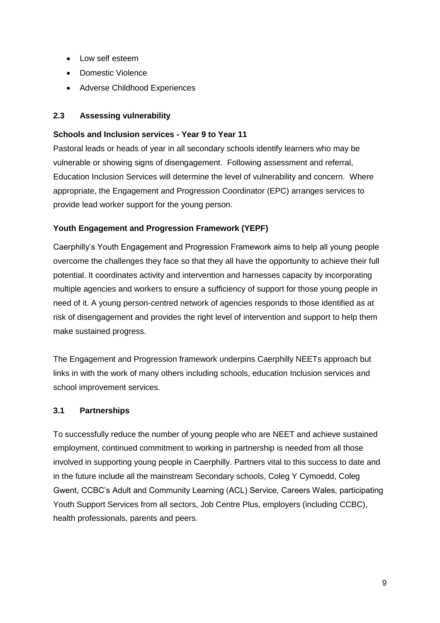- Low self esteem
- Domestic Violence
- Adverse Childhood Experiences

# **2.3 Assessing vulnerability**

# **Schools and Inclusion services - Year 9 to Year 11**

Pastoral leads or heads of year in all secondary schools identify learners who may be vulnerable or showing signs of disengagement. Following assessment and referral, Education Inclusion Services will determine the level of vulnerability and concern. Where appropriate, the Engagement and Progression Coordinator (EPC) arranges services to provide lead worker support for the young person.

# **Youth Engagement and Progression Framework (YEPF)**

Caerphilly's Youth Engagement and Progression Framework aims to help all young people overcome the challenges they face so that they all have the opportunity to achieve their full potential. It coordinates activity and intervention and harnesses capacity by incorporating multiple agencies and workers to ensure a sufficiency of support for those young people in need of it. A young person-centred network of agencies responds to those identified as at risk of disengagement and provides the right level of intervention and support to help them make sustained progress.

The Engagement and Progression framework underpins Caerphilly NEETs approach but links in with the work of many others including schools, education Inclusion services and school improvement services.

# **3.1 Partnerships**

To successfully reduce the number of young people who are NEET and achieve sustained employment, continued commitment to working in partnership is needed from all those involved in supporting young people in Caerphilly. Partners vital to this success to date and in the future include all the mainstream Secondary schools, Coleg Y Cymoedd, Coleg Gwent, CCBC's Adult and Community Learning (ACL) Service, Careers Wales, participating Youth Support Services from all sectors, Job Centre Plus, employers (including CCBC), health professionals, parents and peers.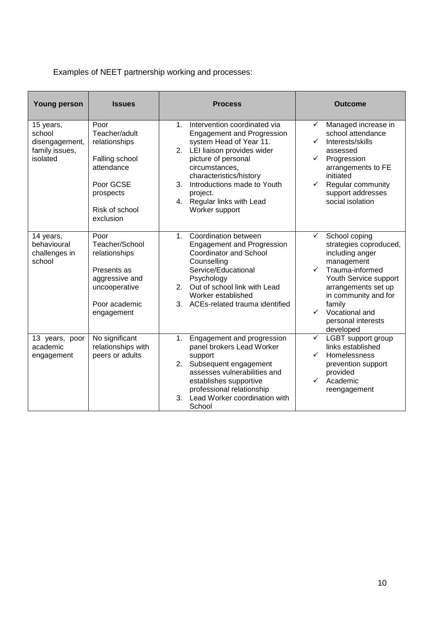Examples of NEET partnership working and processes:

| <b>Young person</b>                                                 | <b>Issues</b>                                                                                                                   | <b>Process</b>                                                                                                                                                                                                                                                                                                | <b>Outcome</b>                                                                                                                                                                                                                                                          |
|---------------------------------------------------------------------|---------------------------------------------------------------------------------------------------------------------------------|---------------------------------------------------------------------------------------------------------------------------------------------------------------------------------------------------------------------------------------------------------------------------------------------------------------|-------------------------------------------------------------------------------------------------------------------------------------------------------------------------------------------------------------------------------------------------------------------------|
| 15 years,<br>school<br>disengagement,<br>family issues,<br>isolated | Poor<br>Teacher/adult<br>relationships<br>Falling school<br>attendance<br>Poor GCSE<br>prospects<br>Risk of school<br>exclusion | Intervention coordinated via<br>$1_{-}$<br><b>Engagement and Progression</b><br>system Head of Year 11.<br>2. LEI liaison provides wider<br>picture of personal<br>circumstances,<br>characteristics/history<br>Introductions made to Youth<br>3.<br>project.<br>4. Regular links with Lead<br>Worker support | Managed increase in<br>✓<br>school attendance<br>Interests/skills<br>assessed<br>Progression<br>✓<br>arrangements to FE<br>initiated<br>$\checkmark$<br>Regular community<br>support addresses<br>social isolation                                                      |
| 14 years,<br>behavioural<br>challenges in<br>school                 | Poor<br>Teacher/School<br>relationships<br>Presents as<br>aggressive and<br>uncooperative<br>Poor academic<br>engagement        | Coordination between<br>1.<br><b>Engagement and Progression</b><br><b>Coordinator and School</b><br>Counselling<br>Service/Educational<br>Psychology<br>Out of school link with Lead<br>2.<br>Worker established<br>3.<br>ACEs-related trauma identified                                                      | School coping<br>✓<br>strategies coproduced,<br>including anger<br>management<br>$\checkmark$<br>Trauma-informed<br>Youth Service support<br>arrangements set up<br>in community and for<br>family<br>Vocational and<br>$\checkmark$<br>personal interests<br>developed |
| 13 years, poor<br>academic<br>engagement                            | No significant<br>relationships with<br>peers or adults                                                                         | Engagement and progression<br>1.<br>panel brokers Lead Worker<br>support<br>Subsequent engagement<br>2.<br>assesses vulnerabilities and<br>establishes supportive<br>professional relationship<br>Lead Worker coordination with<br>3.<br>School                                                               | LGBT support group<br>$\checkmark$<br>links established<br>Homelessness<br>$\checkmark$<br>prevention support<br>provided<br>$\checkmark$<br>Academic<br>reengagement                                                                                                   |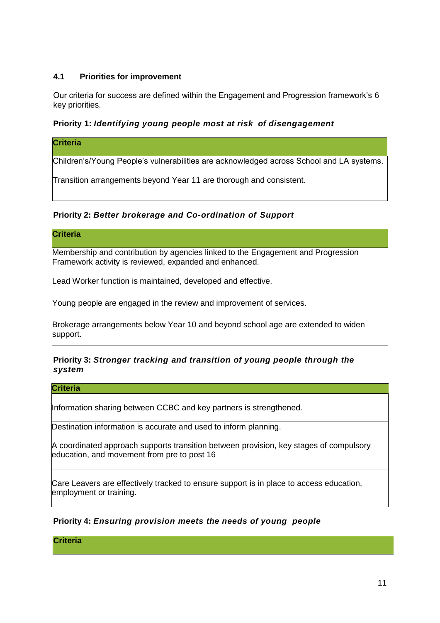# **4.1 Priorities for improvement**

Our criteria for success are defined within the Engagement and Progression framework's 6 key priorities.

# <span id="page-10-0"></span>**Priority 1:** *Identifying young people most at risk of disengagement*

#### **Criteria**

Children's/Young People's vulnerabilities are acknowledged across School and LA systems.

Transition arrangements beyond Year 11 are thorough and consistent.

## <span id="page-10-1"></span>**Priority 2:** *Better brokerage and Co-ordination of Support*

#### **Criteria**

Membership and contribution by agencies linked to the Engagement and Progression Framework activity is reviewed, expanded and enhanced.

Lead Worker function is maintained, developed and effective.

Young people are engaged in the review and improvement of services.

Brokerage arrangements below Year 10 and beyond school age are extended to widen support.

## <span id="page-10-2"></span>**Priority 3:** *Stronger tracking and transition of young people through the system*

#### **Criteria**

Information sharing between CCBC and key partners is strengthened.

Destination information is accurate and used to inform planning.

A coordinated approach supports transition between provision, key stages of compulsory education, and movement from pre to post 16

Care Leavers are effectively tracked to ensure support is in place to access education, employment or training.

# <span id="page-10-3"></span>**Priority 4:** *Ensuring provision meets the needs of young people*

**Criteria**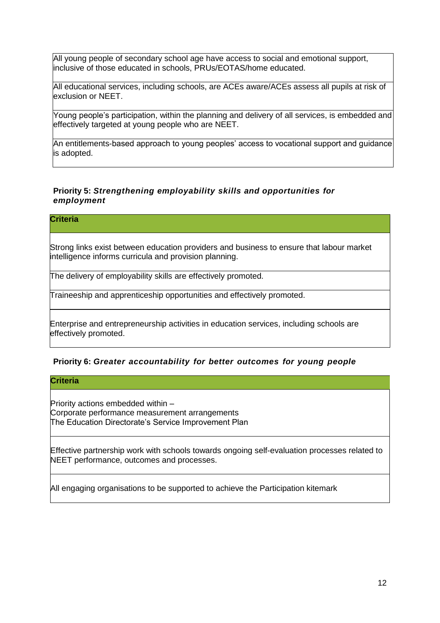All young people of secondary school age have access to social and emotional support, inclusive of those educated in schools, PRUs/EOTAS/home educated.

All educational services, including schools, are ACEs aware/ACEs assess all pupils at risk of exclusion or NEET.

Young people's participation, within the planning and delivery of all services, is embedded and effectively targeted at young people who are NEET.

An entitlements-based approach to young peoples' access to vocational support and guidance is adopted.

# <span id="page-11-0"></span>**Priority 5:** *Strengthening employability skills and opportunities for employment*

# **Criteria**

Strong links exist between education providers and business to ensure that labour market intelligence informs curricula and provision planning.

The delivery of employability skills are effectively promoted.

Traineeship and apprenticeship opportunities and effectively promoted.

Enterprise and entrepreneurship activities in education services, including schools are effectively promoted.

#### **Priority 6:** *Greater accountability for better outcomes for young people*

#### **Criteria**

Priority actions embedded within – Corporate performance measurement arrangements The Education Directorate's Service Improvement Plan

Effective partnership work with schools towards ongoing self-evaluation processes related to NEET performance, outcomes and processes.

All engaging organisations to be supported to achieve the Participation kitemark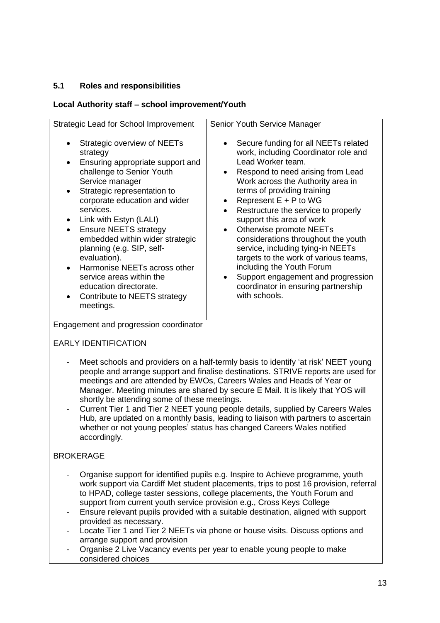# **5.1 Roles and responsibilities**

# **Local Authority staff – school improvement/Youth**

# EARLY IDENTIFICATION

- Meet schools and providers on a half-termly basis to identify 'at risk' NEET young people and arrange support and finalise destinations. STRIVE reports are used for meetings and are attended by EWOs, Careers Wales and Heads of Year or Manager. Meeting minutes are shared by secure E Mail. It is likely that YOS will shortly be attending some of these meetings.
- Current Tier 1 and Tier 2 NEET young people details, supplied by Careers Wales Hub, are updated on a monthly basis, leading to liaison with partners to ascertain whether or not young peoples' status has changed Careers Wales notified accordingly.

# BROKERAGE

- Organise support for identified pupils e.g. Inspire to Achieve programme, youth work support via Cardiff Met student placements, trips to post 16 provision, referral to HPAD, college taster sessions, college placements, the Youth Forum and support from current youth service provision e.g., Cross Keys College
- Ensure relevant pupils provided with a suitable destination, aligned with support provided as necessary.
- Locate Tier 1 and Tier 2 NEETs via phone or house visits. Discuss options and arrange support and provision
- Organise 2 Live Vacancy events per year to enable young people to make considered choices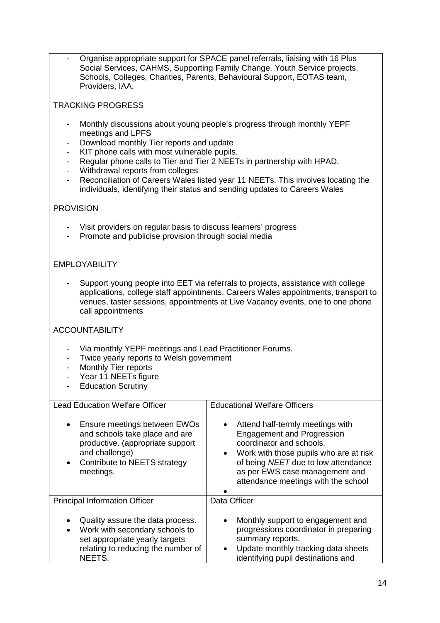- Organise appropriate support for SPACE panel referrals, liaising with 16 Plus Social Services, CAHMS, Supporting Family Change, Youth Service projects, Schools, Colleges, Charities, Parents, Behavioural Support, EOTAS team, Providers, IAA.

# TRACKING PROGRESS

- Monthly discussions about young people's progress through monthly YEPF meetings and LPFS
- Download monthly Tier reports and update
- KIT phone calls with most vulnerable pupils.
- Regular phone calls to Tier and Tier 2 NEETs in partnership with HPAD.
- Withdrawal reports from colleges
- Reconciliation of Careers Wales listed year 11 NEETs. This involves locating the individuals, identifying their status and sending updates to Careers Wales

# **PROVISION**

- Visit providers on regular basis to discuss learners' progress
- Promote and publicise provision through social media

## EMPLOYABILITY

Support young people into EET via referrals to projects, assistance with college applications, college staff appointments, Careers Wales appointments, transport to venues, taster sessions, appointments at Live Vacancy events, one to one phone call appointments

# ACCOUNTABILITY

- Via monthly YEPF meetings and Lead Practitioner Forums.
- Twice yearly reports to Welsh government
- Monthly Tier reports
- Year 11 NEETs figure
- **Education Scrutiny**

| <b>Lead Education Welfare Officer</b>                                                                                                                                                       | <b>Educational Welfare Officers</b>                                                                                                                                                                                                                                                   |  |  |  |
|---------------------------------------------------------------------------------------------------------------------------------------------------------------------------------------------|---------------------------------------------------------------------------------------------------------------------------------------------------------------------------------------------------------------------------------------------------------------------------------------|--|--|--|
| Ensure meetings between EWOs<br>$\bullet$<br>and schools take place and are<br>productive. (appropriate support<br>and challenge)<br>Contribute to NEETS strategy<br>$\bullet$<br>meetings. | Attend half-termly meetings with<br>$\bullet$<br><b>Engagement and Progression</b><br>coordinator and schools.<br>Work with those pupils who are at risk<br>$\bullet$<br>of being NEET due to low attendance<br>as per EWS case management and<br>attendance meetings with the school |  |  |  |
| <b>Principal Information Officer</b>                                                                                                                                                        | Data Officer                                                                                                                                                                                                                                                                          |  |  |  |
| Quality assure the data process.<br>Work with secondary schools to<br>$\bullet$<br>set appropriate yearly targets<br>relating to reducing the number of<br>NEETS.                           | Monthly support to engagement and<br>$\bullet$<br>progressions coordinator in preparing<br>summary reports.<br>Update monthly tracking data sheets<br>$\bullet$<br>identifying pupil destinations and                                                                                 |  |  |  |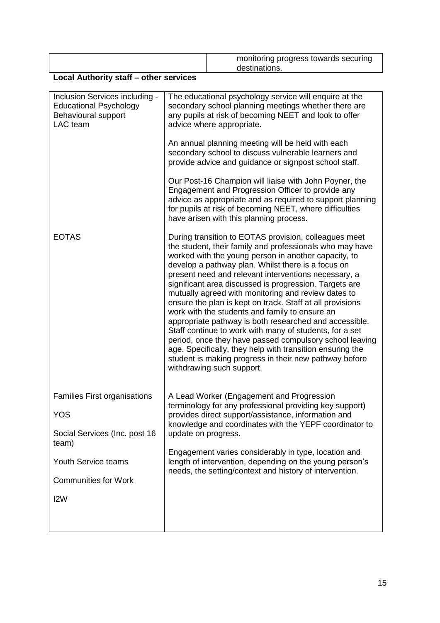|      | monitoring progress towards securing<br>destinations. |
|------|-------------------------------------------------------|
| $ -$ |                                                       |

# **Local Authority staff – other services**

| Inclusion Services including -<br><b>Educational Psychology</b><br>Behavioural support<br>LAC team | The educational psychology service will enquire at the<br>secondary school planning meetings whether there are<br>any pupils at risk of becoming NEET and look to offer<br>advice where appropriate.                                                                                                                                                                                                                                                                                                                                                                                                                                                                                                                                                                                                                                                        |  |  |  |
|----------------------------------------------------------------------------------------------------|-------------------------------------------------------------------------------------------------------------------------------------------------------------------------------------------------------------------------------------------------------------------------------------------------------------------------------------------------------------------------------------------------------------------------------------------------------------------------------------------------------------------------------------------------------------------------------------------------------------------------------------------------------------------------------------------------------------------------------------------------------------------------------------------------------------------------------------------------------------|--|--|--|
|                                                                                                    | An annual planning meeting will be held with each<br>secondary school to discuss vulnerable learners and<br>provide advice and guidance or signpost school staff.                                                                                                                                                                                                                                                                                                                                                                                                                                                                                                                                                                                                                                                                                           |  |  |  |
|                                                                                                    | Our Post-16 Champion will liaise with John Poyner, the<br>Engagement and Progression Officer to provide any<br>advice as appropriate and as required to support planning<br>for pupils at risk of becoming NEET, where difficulties<br>have arisen with this planning process.                                                                                                                                                                                                                                                                                                                                                                                                                                                                                                                                                                              |  |  |  |
| <b>EOTAS</b>                                                                                       | During transition to EOTAS provision, colleagues meet<br>the student, their family and professionals who may have<br>worked with the young person in another capacity, to<br>develop a pathway plan. Whilst there is a focus on<br>present need and relevant interventions necessary, a<br>significant area discussed is progression. Targets are<br>mutually agreed with monitoring and review dates to<br>ensure the plan is kept on track. Staff at all provisions<br>work with the students and family to ensure an<br>appropriate pathway is both researched and accessible.<br>Staff continue to work with many of students, for a set<br>period, once they have passed compulsory school leaving<br>age. Specifically, they help with transition ensuring the<br>student is making progress in their new pathway before<br>withdrawing such support. |  |  |  |
| <b>Families First organisations</b>                                                                | A Lead Worker (Engagement and Progression<br>terminology for any professional providing key support)                                                                                                                                                                                                                                                                                                                                                                                                                                                                                                                                                                                                                                                                                                                                                        |  |  |  |
| <b>YOS</b>                                                                                         | provides direct support/assistance, information and<br>knowledge and coordinates with the YEPF coordinator to                                                                                                                                                                                                                                                                                                                                                                                                                                                                                                                                                                                                                                                                                                                                               |  |  |  |
| Social Services (Inc. post 16<br>team)                                                             | update on progress.                                                                                                                                                                                                                                                                                                                                                                                                                                                                                                                                                                                                                                                                                                                                                                                                                                         |  |  |  |
| Youth Service teams                                                                                | Engagement varies considerably in type, location and<br>length of intervention, depending on the young person's                                                                                                                                                                                                                                                                                                                                                                                                                                                                                                                                                                                                                                                                                                                                             |  |  |  |
| <b>Communities for Work</b>                                                                        | needs, the setting/context and history of intervention.                                                                                                                                                                                                                                                                                                                                                                                                                                                                                                                                                                                                                                                                                                                                                                                                     |  |  |  |
| I <sub>2</sub> W                                                                                   |                                                                                                                                                                                                                                                                                                                                                                                                                                                                                                                                                                                                                                                                                                                                                                                                                                                             |  |  |  |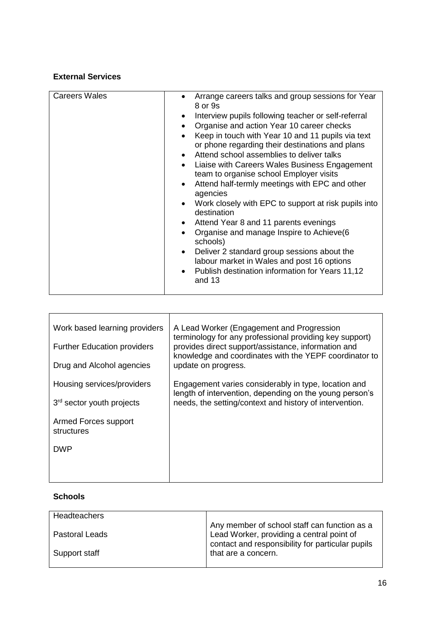# **External Services**

| Work based learning providers<br><b>Further Education providers</b><br>Drug and Alcohol agencies | A Lead Worker (Engagement and Progression<br>terminology for any professional providing key support)<br>provides direct support/assistance, information and<br>knowledge and coordinates with the YEPF coordinator to<br>update on progress. |
|--------------------------------------------------------------------------------------------------|----------------------------------------------------------------------------------------------------------------------------------------------------------------------------------------------------------------------------------------------|
| Housing services/providers<br>$3rd$ sector youth projects                                        | Engagement varies considerably in type, location and<br>length of intervention, depending on the young person's<br>needs, the setting/context and history of intervention.                                                                   |
| Armed Forces support<br>structures                                                               |                                                                                                                                                                                                                                              |
| <b>DWP</b>                                                                                       |                                                                                                                                                                                                                                              |
|                                                                                                  |                                                                                                                                                                                                                                              |

# **Schools**

| Headteachers          |                                                                                           |
|-----------------------|-------------------------------------------------------------------------------------------|
| <b>Pastoral Leads</b> | Any member of school staff can function as a<br>Lead Worker, providing a central point of |
| Support staff         | contact and responsibility for particular pupils<br>that are a concern.                   |
|                       |                                                                                           |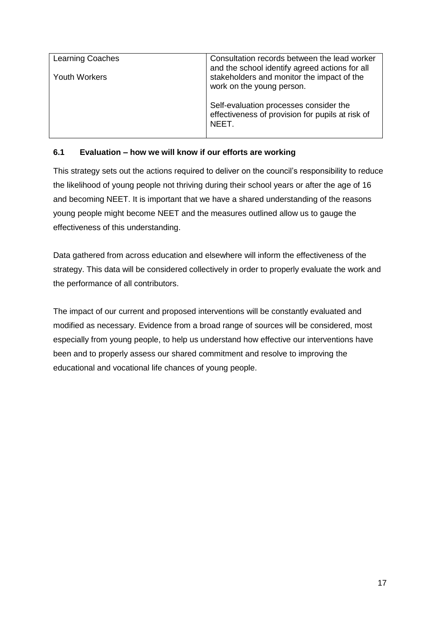| <b>Learning Coaches</b> | Consultation records between the lead worker<br>and the school identify agreed actions for all             |  |  |
|-------------------------|------------------------------------------------------------------------------------------------------------|--|--|
| <b>Youth Workers</b>    | stakeholders and monitor the impact of the<br>work on the young person.                                    |  |  |
|                         | Self-evaluation processes consider the<br>effectiveness of provision for pupils at risk of<br><b>NFFT.</b> |  |  |

# **6.1 Evaluation – how we will know if our efforts are working**

This strategy sets out the actions required to deliver on the council's responsibility to reduce the likelihood of young people not thriving during their school years or after the age of 16 and becoming NEET. It is important that we have a shared understanding of the reasons young people might become NEET and the measures outlined allow us to gauge the effectiveness of this understanding.

Data gathered from across education and elsewhere will inform the effectiveness of the strategy. This data will be considered collectively in order to properly evaluate the work and the performance of all contributors.

The impact of our current and proposed interventions will be constantly evaluated and modified as necessary. Evidence from a broad range of sources will be considered, most especially from young people, to help us understand how effective our interventions have been and to properly assess our shared commitment and resolve to improving the educational and vocational life chances of young people.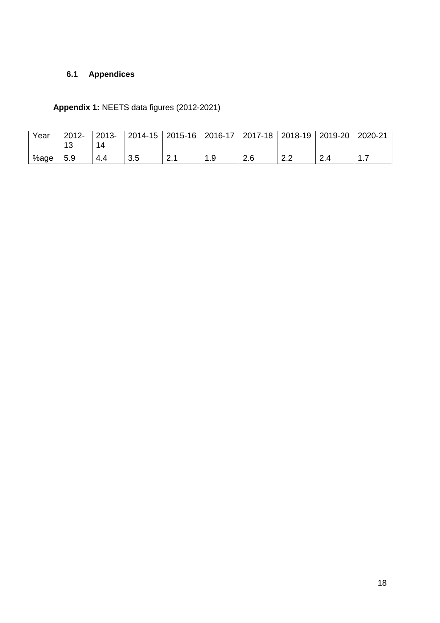# **6.1 Appendices**

**Appendix 1:** NEETS data figures (2012-2021)

| Year | $2012 -$<br>13 | $2013 -$ |     | 2014-15   2015-16   2016-17   2017-18   2018-19   2019-20 |           |                             |     | 2020-21 |
|------|----------------|----------|-----|-----------------------------------------------------------|-----------|-----------------------------|-----|---------|
| %age | 5.9            |          | 3.5 | <u>.</u>                                                  | つに<br>2.U | $\sim$ $\sim$<br><u>_._</u> | 2.4 |         |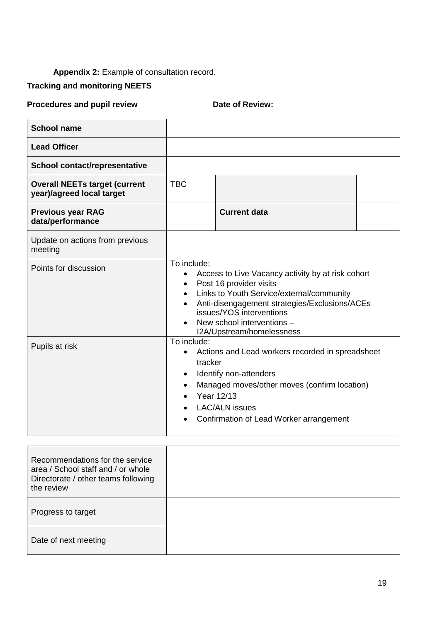# Appendix 2: Example of consultation record.

# **Tracking and monitoring NEETS**

# **Procedures and pupil review <b>Date of Review:**

| <b>School name</b>                                                |                                                                                                                                                                                                                                                                                                            |                     |  |
|-------------------------------------------------------------------|------------------------------------------------------------------------------------------------------------------------------------------------------------------------------------------------------------------------------------------------------------------------------------------------------------|---------------------|--|
| <b>Lead Officer</b>                                               |                                                                                                                                                                                                                                                                                                            |                     |  |
| School contact/representative                                     |                                                                                                                                                                                                                                                                                                            |                     |  |
| <b>Overall NEETs target (current</b><br>year)/agreed local target | <b>TBC</b>                                                                                                                                                                                                                                                                                                 |                     |  |
| <b>Previous year RAG</b><br>data/performance                      |                                                                                                                                                                                                                                                                                                            | <b>Current data</b> |  |
| Update on actions from previous<br>meeting                        |                                                                                                                                                                                                                                                                                                            |                     |  |
| Points for discussion                                             | To include:<br>Access to Live Vacancy activity by at risk cohort<br>Post 16 provider visits<br>$\bullet$<br>Links to Youth Service/external/community<br>$\bullet$<br>Anti-disengagement strategies/Exclusions/ACEs<br>issues/YOS interventions<br>New school interventions -<br>I2A/Upstream/homelessness |                     |  |
| Pupils at risk                                                    | To include:<br>Actions and Lead workers recorded in spreadsheet<br>tracker<br>Identify non-attenders<br>٠<br>Managed moves/other moves (confirm location)<br>Year 12/13<br><b>LAC/ALN</b> issues<br>Confirmation of Lead Worker arrangement                                                                |                     |  |

| Recommendations for the service<br>area / School staff and / or whole<br>Directorate / other teams following<br>the review |  |
|----------------------------------------------------------------------------------------------------------------------------|--|
| Progress to target                                                                                                         |  |
| Date of next meeting                                                                                                       |  |